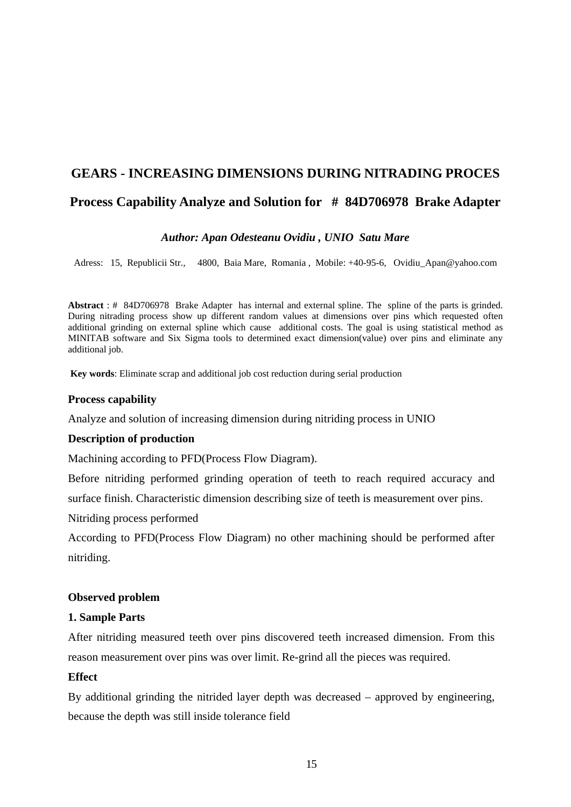# **GEARS - INCREASING DIMENSIONS DURING NITRADING PROCES Process Capability Analyze and Solution for # 84D706978 Brake Adapter**

## *Author: Apan Odesteanu Ovidiu , UNIO Satu Mare*

Adress: 15, Republicii Str., 4800, Baia Mare, Romania , Mobile: +40-95-6, Ovidiu\_Apan@yahoo.com

**Abstract** : # 84D706978 Brake Adapter has internal and external spline. The spline of the parts is grinded. During nitrading process show up different random values at dimensions over pins which requested often additional grinding on external spline which cause additional costs. The goal is using statistical method as MINITAB software and Six Sigma tools to determined exact dimension(value) over pins and eliminate any additional job.

**Key words**: Eliminate scrap and additional job cost reduction during serial production

#### **Process capability**

Analyze and solution of increasing dimension during nitriding process in UNIO

#### **Description of production**

Machining according to PFD(Process Flow Diagram).

Before nitriding performed grinding operation of teeth to reach required accuracy and

surface finish. Characteristic dimension describing size of teeth is measurement over pins.

Nitriding process performed

According to PFD(Process Flow Diagram) no other machining should be performed after nitriding.

#### **Observed problem**

#### **1. Sample Parts**

After nitriding measured teeth over pins discovered teeth increased dimension. From this reason measurement over pins was over limit. Re-grind all the pieces was required.

### **Effect**

By additional grinding the nitrided layer depth was decreased – approved by engineering, because the depth was still inside tolerance field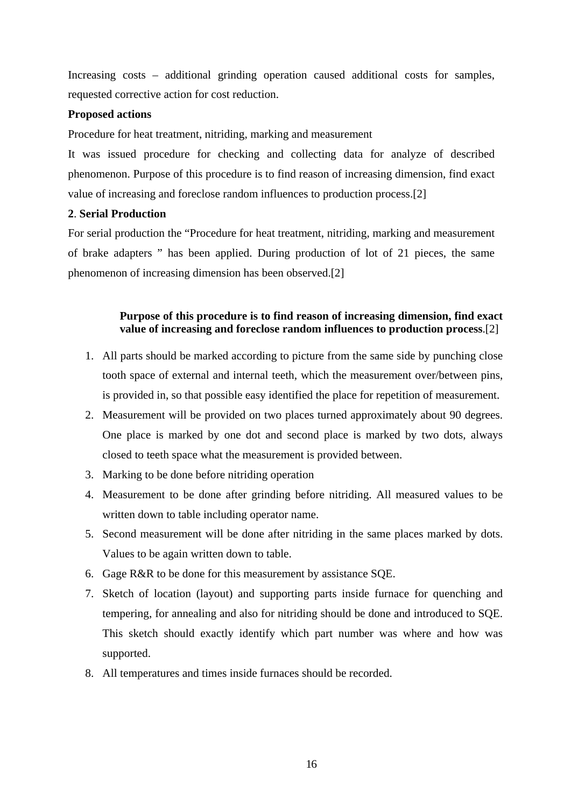Increasing costs – additional grinding operation caused additional costs for samples, requested corrective action for cost reduction.

# **Proposed actions**

Procedure for heat treatment, nitriding, marking and measurement

It was issued procedure for checking and collecting data for analyze of described phenomenon. Purpose of this procedure is to find reason of increasing dimension, find exact value of increasing and foreclose random influences to production process.[2]

# **2**. **Serial Production**

For serial production the "Procedure for heat treatment, nitriding, marking and measurement of brake adapters " has been applied. During production of lot of 21 pieces, the same phenomenon of increasing dimension has been observed.[2]

# **Purpose of this procedure is to find reason of increasing dimension, find exact value of increasing and foreclose random influences to production process**.[2]

- 1. All parts should be marked according to picture from the same side by punching close tooth space of external and internal teeth, which the measurement over/between pins, is provided in, so that possible easy identified the place for repetition of measurement.
- 2. Measurement will be provided on two places turned approximately about 90 degrees. One place is marked by one dot and second place is marked by two dots, always closed to teeth space what the measurement is provided between.
- 3. Marking to be done before nitriding operation
- 4. Measurement to be done after grinding before nitriding. All measured values to be written down to table including operator name.
- 5. Second measurement will be done after nitriding in the same places marked by dots. Values to be again written down to table.
- 6. Gage R&R to be done for this measurement by assistance SQE.
- 7. Sketch of location (layout) and supporting parts inside furnace for quenching and tempering, for annealing and also for nitriding should be done and introduced to SQE. This sketch should exactly identify which part number was where and how was supported.
- 8. All temperatures and times inside furnaces should be recorded.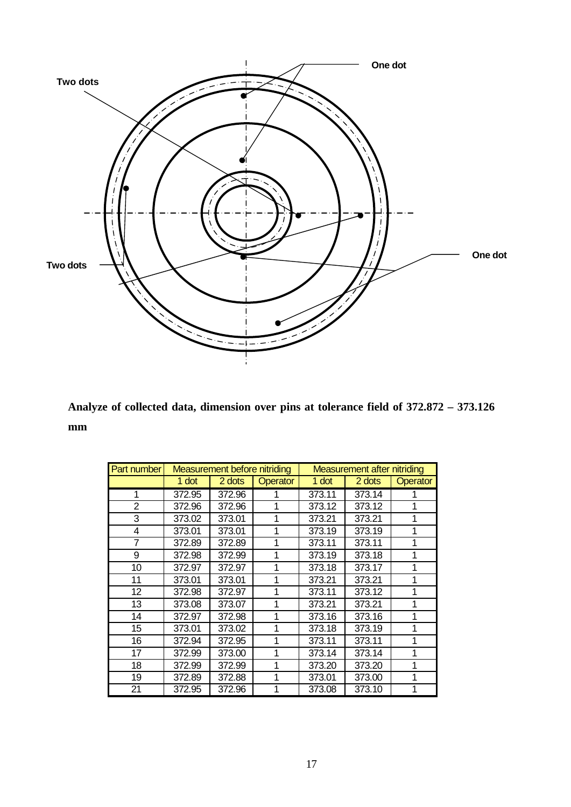

**Analyze of collected data, dimension over pins at tolerance field of 372.872 – 373.126 mm** 

| Part number | <b>Measurement before nitriding</b> |        |                 | Measurement after nitriding |        |          |
|-------------|-------------------------------------|--------|-----------------|-----------------------------|--------|----------|
|             | 1 dot                               | 2 dots | <b>Operator</b> | 1 dot                       | 2 dots | Operator |
| 1           | 372.95                              | 372.96 |                 | 373.11                      | 373.14 |          |
| 2           | 372.96                              | 372.96 | 1               | 373.12                      | 373.12 | 1        |
| 3           | 373.02                              | 373.01 | 1               | 373.21                      | 373.21 | 1        |
| 4           | 373.01                              | 373.01 | 1               | 373.19                      | 373.19 | 1        |
| 7           | 372.89                              | 372.89 | 1               | 373.11                      | 373.11 | 1        |
| 9           | 372.98                              | 372.99 | 1               | 373.19                      | 373.18 | 1        |
| 10          | 372.97                              | 372.97 | 1               | 373.18                      | 373.17 | 1        |
| 11          | 373.01                              | 373.01 | 1               | 373.21                      | 373.21 | 1        |
| 12          | 372.98                              | 372.97 |                 | 373.11                      | 373.12 |          |
| 13          | 373.08                              | 373.07 | 1               | 373.21                      | 373.21 | 1        |
| 14          | 372.97                              | 372.98 | 1               | 373.16                      | 373.16 | 1        |
| 15          | 373.01                              | 373.02 | 1               | 373.18                      | 373.19 | 1        |
| 16          | 372.94                              | 372.95 | 1               | 373.11                      | 373.11 | 1        |
| 17          | 372.99                              | 373.00 | 1               | 373.14                      | 373.14 | 1        |
| 18          | 372.99                              | 372.99 | 1               | 373.20                      | 373.20 | 1        |
| 19          | 372.89                              | 372.88 |                 | 373.01                      | 373.00 | 1        |
| 21          | 372.95                              | 372.96 |                 | 373.08                      | 373.10 |          |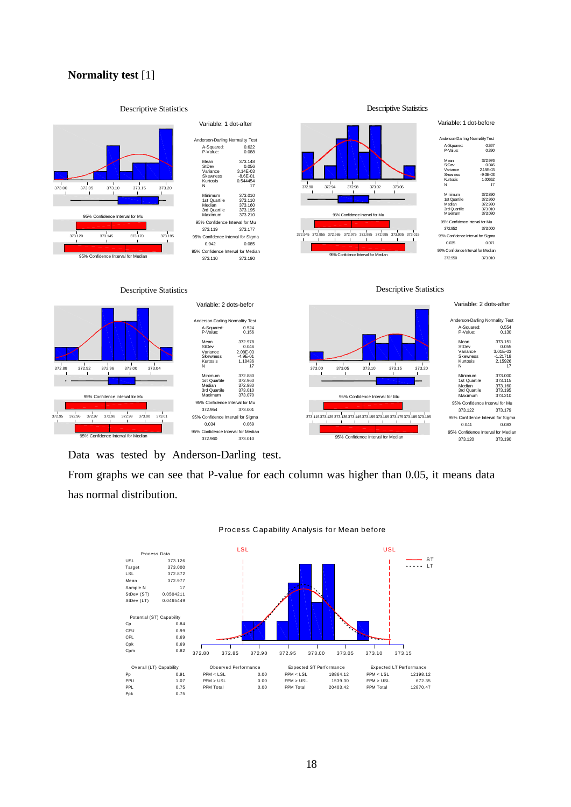# **Normality test** [1]

#### Descriptive Statistics

Descriptive Statistics



Data was tested by Anderson-Darling test.

From graphs we can see that P-value for each column was higher than 0.05, it means data has normal distribution.



Process Capability Analysis for Mean before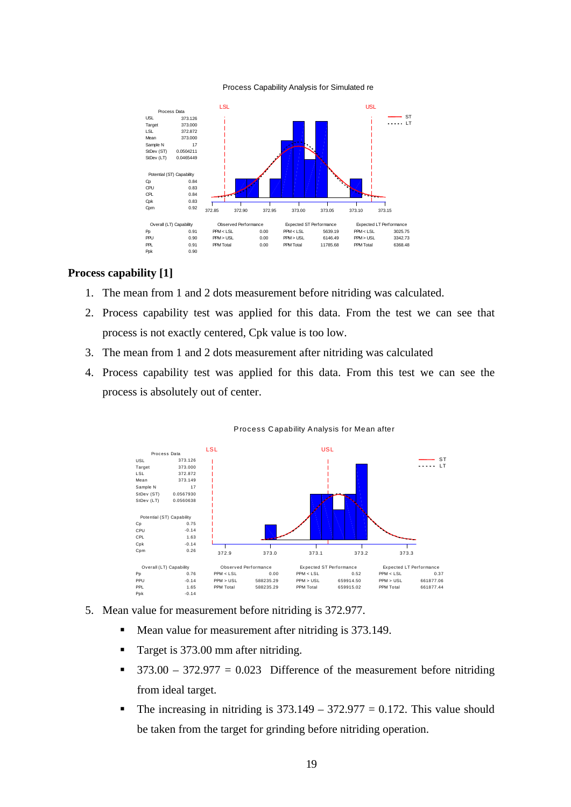#### Process Capability Analysis for Simulated re



#### **Process capability [1]**

- 1. The mean from 1 and 2 dots measurement before nitriding was calculated.
- 2. Process capability test was applied for this data. From the test we can see that process is not exactly centered, Cpk value is too low.
- 3. The mean from 1 and 2 dots measurement after nitriding was calculated
- 4. Process capability test was applied for this data. From this test we can see the process is absolutely out of center.



Process Capability Analysis for Mean after

- 5. Mean value for measurement before nitriding is 372.977.
	- Mean value for measurement after nitriding is 373.149.
	- Target is 373.00 mm after nitriding.
	- 373.00 372.977 = 0.023 Difference of the measurement before nitriding from ideal target.
	- The increasing in nitriding is  $373.149 372.977 = 0.172$ . This value should be taken from the target for grinding before nitriding operation.